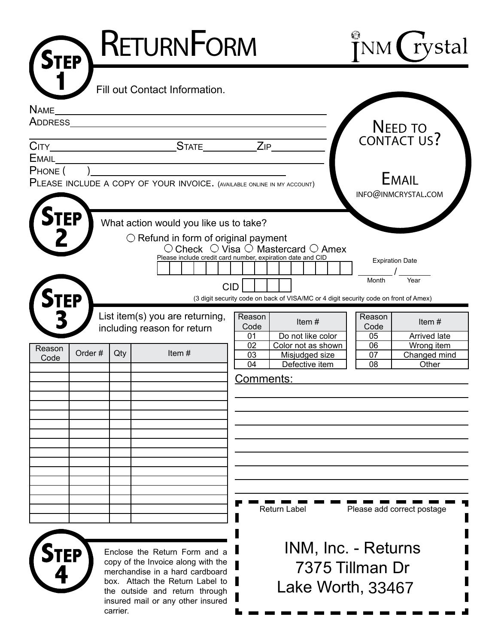| <b>STEP</b>             |               | <b>RETURNFORM</b>                                                                                                                                                                                                |                                                                                                                                                                                                                                                                                | NM rystal                                                                                                        |
|-------------------------|---------------|------------------------------------------------------------------------------------------------------------------------------------------------------------------------------------------------------------------|--------------------------------------------------------------------------------------------------------------------------------------------------------------------------------------------------------------------------------------------------------------------------------|------------------------------------------------------------------------------------------------------------------|
| $N$ AME                 |               | Fill out Contact Information.                                                                                                                                                                                    |                                                                                                                                                                                                                                                                                |                                                                                                                  |
| ADDRESS_                |               | CITY STATE ZIP                                                                                                                                                                                                   |                                                                                                                                                                                                                                                                                | NEED TO<br>CONTACT US?                                                                                           |
| PHONE (                 |               |                                                                                                                                                                                                                  | PLEASE INCLUDE A COPY OF YOUR INVOICE. (AVAILABLE ONLINE IN MY ACCOUNT)                                                                                                                                                                                                        | <b>EMAIL</b><br>INFO@INMCRYSTAL.COM                                                                              |
| <b>TEP</b><br><b>EP</b> |               | What action would you like us to take?<br>$\bigcirc$ Refund in form of original payment                                                                                                                          | $\circlearrowright$ Check $\circlearrowright$ Visa $\circlearrowright$ Mastercard $\circlearrowright$ Amex<br>Please include credit card number, expiration date and CID<br><b>CID</b><br>(3 digit security code on back of VISA/MC or 4 digit security code on front of Amex) | <b>Expiration Date</b><br>Year<br>Month                                                                          |
| Reason<br>Code          | Order#<br>Qty | List item(s) you are returning,<br>including reason for return<br>Item#                                                                                                                                          | Reason<br>Item#<br>Code<br>01<br>Do not like color<br>02<br>Color not as shown<br>03<br>Misjudged size<br>04<br>Defective item<br>Comments:                                                                                                                                    | Reason<br>Item $#$<br>Code<br>05<br><b>Arrived late</b><br>06<br>Wrong item<br>Changed mind<br>07<br>08<br>Other |
|                         |               |                                                                                                                                                                                                                  | <b>Return Label</b>                                                                                                                                                                                                                                                            | Please add correct postage                                                                                       |
| 'EP                     | carrier.      | Enclose the Return Form and a<br>copy of the Invoice along with the<br>merchandise in a hard cardboard<br>box. Attach the Return Label to<br>the outside and return through<br>insured mail or any other insured |                                                                                                                                                                                                                                                                                | <b>INM, Inc. - Returns</b><br>7375 Tillman Dr<br>Lake Worth, 33467                                               |